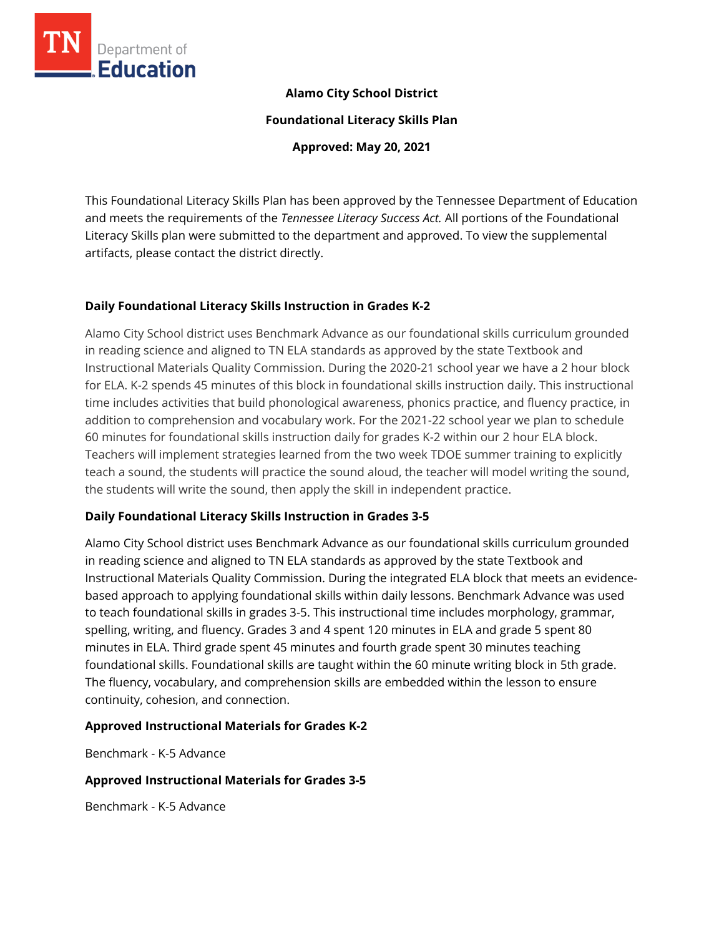

# **Alamo City School District**

**Foundational Literacy Skills Plan**

**Approved: May 20, 2021**

This Foundational Literacy Skills Plan has been approved by the Tennessee Department of Education and meets the requirements of the *Tennessee Literacy Success Act.* All portions of the Foundational Literacy Skills plan were submitted to the department and approved. To view the supplemental artifacts, please contact the district directly.

# **Daily Foundational Literacy Skills Instruction in Grades K-2**

Alamo City School district uses Benchmark Advance as our foundational skills curriculum grounded in reading science and aligned to TN ELA standards as approved by the state Textbook and Instructional Materials Quality Commission. During the 2020-21 school year we have a 2 hour block for ELA. K-2 spends 45 minutes of this block in foundational skills instruction daily. This instructional time includes activities that build phonological awareness, phonics practice, and fluency practice, in addition to comprehension and vocabulary work. For the 2021-22 school year we plan to schedule 60 minutes for foundational skills instruction daily for grades K-2 within our 2 hour ELA block. Teachers will implement strategies learned from the two week TDOE summer training to explicitly teach a sound, the students will practice the sound aloud, the teacher will model writing the sound, the students will write the sound, then apply the skill in independent practice.

## **Daily Foundational Literacy Skills Instruction in Grades 3-5**

Alamo City School district uses Benchmark Advance as our foundational skills curriculum grounded in reading science and aligned to TN ELA standards as approved by the state Textbook and Instructional Materials Quality Commission. During the integrated ELA block that meets an evidencebased approach to applying foundational skills within daily lessons. Benchmark Advance was used to teach foundational skills in grades 3-5. This instructional time includes morphology, grammar, spelling, writing, and fluency. Grades 3 and 4 spent 120 minutes in ELA and grade 5 spent 80 minutes in ELA. Third grade spent 45 minutes and fourth grade spent 30 minutes teaching foundational skills. Foundational skills are taught within the 60 minute writing block in 5th grade. The fluency, vocabulary, and comprehension skills are embedded within the lesson to ensure continuity, cohesion, and connection.

## **Approved Instructional Materials for Grades K-2**

Benchmark - K-5 Advance

## **Approved Instructional Materials for Grades 3-5**

Benchmark - K-5 Advance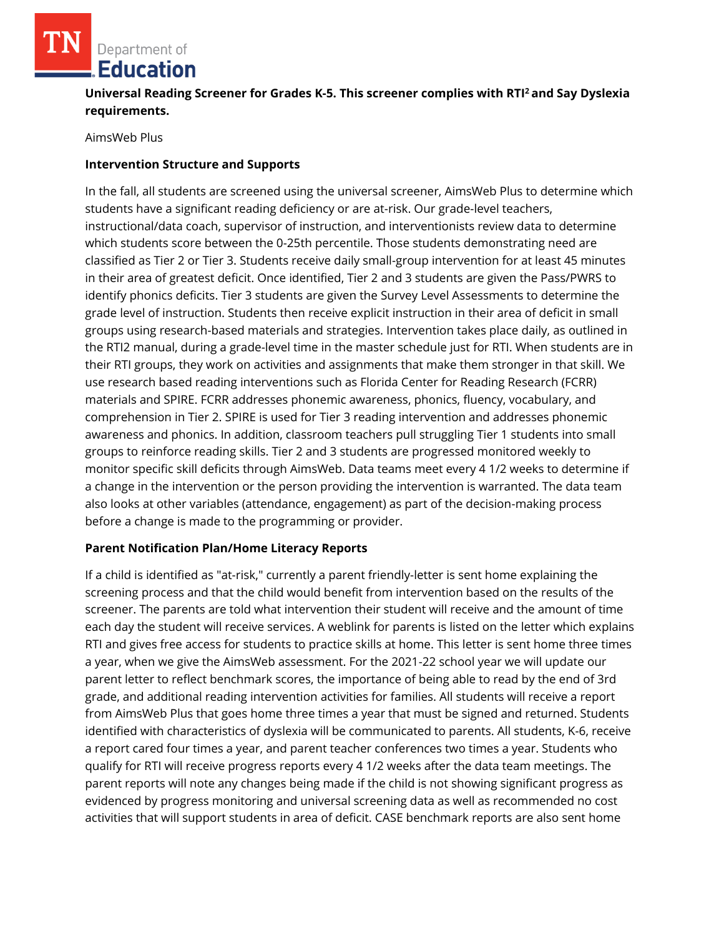# Department of **Education**

# **Universal Reading Screener for Grades K-5. This screener complies with RTI<sup>2</sup>and Say Dyslexia requirements.**

AimsWeb Plus

# **Intervention Structure and Supports**

In the fall, all students are screened using the universal screener, AimsWeb Plus to determine which students have a significant reading deficiency or are at-risk. Our grade-level teachers, instructional/data coach, supervisor of instruction, and interventionists review data to determine which students score between the 0-25th percentile. Those students demonstrating need are classified as Tier 2 or Tier 3. Students receive daily small-group intervention for at least 45 minutes in their area of greatest deficit. Once identified, Tier 2 and 3 students are given the Pass/PWRS to identify phonics deficits. Tier 3 students are given the Survey Level Assessments to determine the grade level of instruction. Students then receive explicit instruction in their area of deficit in small groups using research-based materials and strategies. Intervention takes place daily, as outlined in the RTI2 manual, during a grade-level time in the master schedule just for RTI. When students are in their RTI groups, they work on activities and assignments that make them stronger in that skill. We use research based reading interventions such as Florida Center for Reading Research (FCRR) materials and SPIRE. FCRR addresses phonemic awareness, phonics, fluency, vocabulary, and comprehension in Tier 2. SPIRE is used for Tier 3 reading intervention and addresses phonemic awareness and phonics. In addition, classroom teachers pull struggling Tier 1 students into small groups to reinforce reading skills. Tier 2 and 3 students are progressed monitored weekly to monitor specific skill deficits through AimsWeb. Data teams meet every 4 1/2 weeks to determine if a change in the intervention or the person providing the intervention is warranted. The data team also looks at other variables (attendance, engagement) as part of the decision-making process before a change is made to the programming or provider.

## **Parent Notification Plan/Home Literacy Reports**

If a child is identified as "at-risk," currently a parent friendly-letter is sent home explaining the screening process and that the child would benefit from intervention based on the results of the screener. The parents are told what intervention their student will receive and the amount of time each day the student will receive services. A weblink for parents is listed on the letter which explains RTI and gives free access for students to practice skills at home. This letter is sent home three times a year, when we give the AimsWeb assessment. For the 2021-22 school year we will update our parent letter to reflect benchmark scores, the importance of being able to read by the end of 3rd grade, and additional reading intervention activities for families. All students will receive a report from AimsWeb Plus that goes home three times a year that must be signed and returned. Students identified with characteristics of dyslexia will be communicated to parents. All students, K-6, receive a report cared four times a year, and parent teacher conferences two times a year. Students who qualify for RTI will receive progress reports every 4 1/2 weeks after the data team meetings. The parent reports will note any changes being made if the child is not showing significant progress as evidenced by progress monitoring and universal screening data as well as recommended no cost activities that will support students in area of deficit. CASE benchmark reports are also sent home